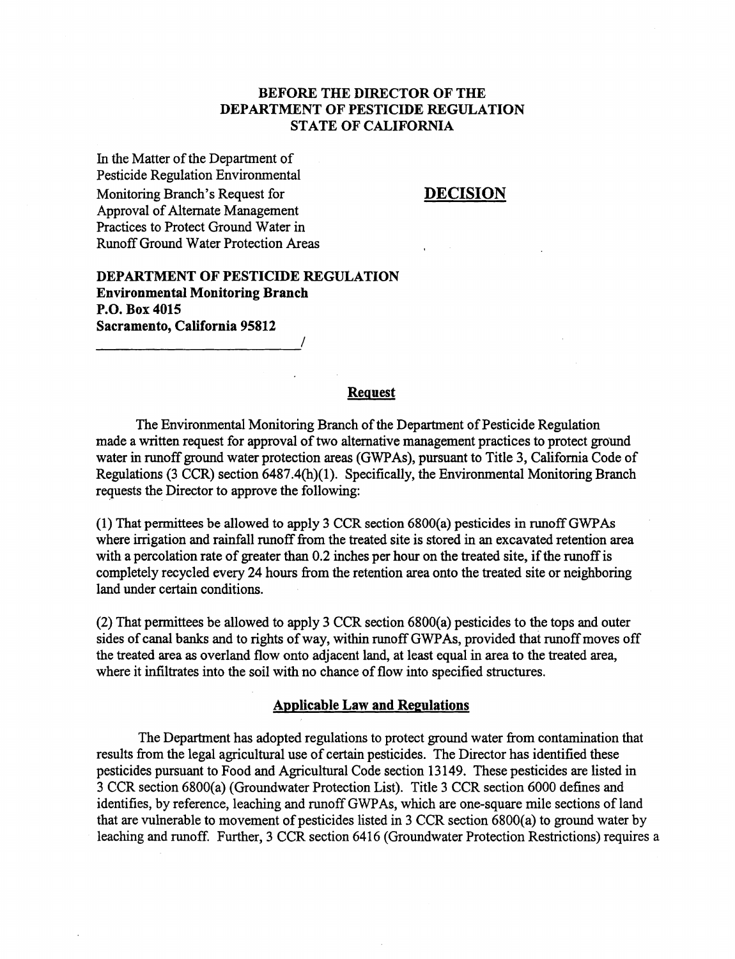## **BEFORE THE DIRECTOR OF THE DEPARTMENT OF PESTICIDE REGULATION STATE OF CALIFORNIA**

In the Matter of the Department of Pesticide Regulation Environmental Monitoring Branch's Request for Approval of Alternate Management Practices to Protect Ground Water in Runoff Ground Water Protection Areas

### **DECISION**

**DEPARTMENT OF PESTICIDE REGULATION Environmental Monitoring Branch P.O. Box 4015 Sacramento, California 95812** 

### **Request**

The Environmental Monitoring Branch of the Department of Pesticide Regulation made a written request for approval of two alternative management practices to protect ground water in runoff ground water protection areas (GWP As), pursuant to Title 3, California Code of Regulations (3 CCR) section 6487.4(h)(l). Specifically, the Environmental Monitoring Branch reguests the Director to approve the following:

(1) That permittees be allowed to apply 3 CCR section 6800(a) pesticides in runoffGWPAs where irrigation and rainfall runoff from the treated site is stored in an excavated retention area with a percolation rate of greater than 0.2 inches per hour on the treated site, if the runoff is completely recycled every 24 hours from the retention area onto the treated site or neighboring land under certain conditions.

(2) That permittees be allowed to apply 3 CCR section  $6800(a)$  pesticides to the tops and outer sides of canal banks and to rights of way, within runoff GWP As, provided that runoff moves off the treated area as overland flow onto adjacent land, at least equal in area to the treated area, where it infiltrates into the soil with no chance of flow into specified structures.

## **Applicable Law and Regulations**

The Department has adopted regulations to protect ground water from contamination that results from the legal agricultural use of certain pesticides. The Director has identified these pesticides pursuant to Food and Agricultural Code section 13149. These pesticides are listed in 3 CCR section 6800(a) (Groundwater Protection List). Title 3 CCR section 6000 defines and identifies, by reference, leaching and runoff GWP As, which are one-square mile sections of land that are vulnerable to movement of pesticides listed in 3 CCR section 6800(a) to ground water by leaching and runoff. Further, 3 CCR section 6416 (Groundwater Protection Restrictions) requires a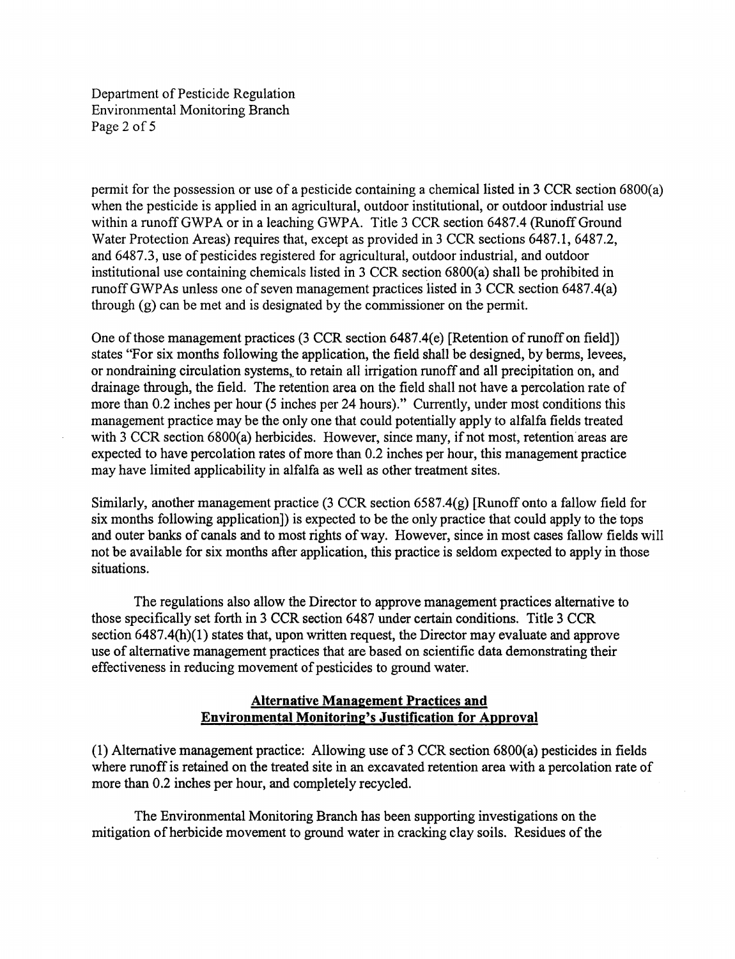Department of Pesticide Regulation Environmental Monitoring Branch Page 2 of 5

permit for the possession or use of a pesticide containing a chemical listed in 3 CCR section 6800(a) when the pesticide is applied in an agricultural, outdoor institutional, or outdoor industrial use within a runoff GWPA or in a leaching GWPA. Title 3 CCR section 6487.4 (Runoff Ground Water Protection Areas) requires that, except as provided in 3 CCR sections 6487.1, 6487.2, and 6487.3, use of pesticides registered for agricultural, outdoor industrial, and outdoor institutional use containing chemicals listed in 3 CCR section 6800(a) shall be prohibited in runoff GWPAs unless one of seven management practices listed in 3 CCR section 6487.4(a) through (g) can be met and is designated by the commissioner on the permit.

One of those management practices (3 CCR section 6487.4(e) [Retention of runoff on field]) states "For six months following the application, the field shall be designed, by berms, levees, or nondraining circulation systems, to retain all irrigation runoff and all precipitation on, and drainage through, the field. The retention area on the field shall not have a percolation rate of more than 0.2 inches per hour (5 inches per 24 hours)." Currently, under most conditions this management practice may be the only one that could potentially apply to alfalfa fields treated with 3 CCR section 6800(a) herbicides. However, since many, if not most, retention areas are expected to have percolation rates of more than 0.2 inches per hour, this management practice may have limited applicability in alfalfa as well as other treatment sites.

Similarly, another management practice (3 CCR section 6587.4(g) [Runoff onto a fallow field for six months following application]) is expected to be the only practice that could apply to the tops and outer banks of canals and to most rights of way. However, since in most cases fallow fields will not be available for six months after application, this practice is seldom expected to apply in those situations.

The regulations also allow the Director to approve management practices alternative to those specifically set forth in 3 CCR section 6487 under certain conditions. Title 3 CCR section 6487.4(h)(1) states that, upon written request, the Director may evaluate and approve use of alternative management practices that are based on scientific data demonstrating their effectiveness in reducing movement of pesticides to ground water.

# **Alternative Management Practices and Environmental Monitoring's Justification for Approval**

(1) Alternative management practice: Allowing use of 3 CCR section 6800(a) pesticides in fields where runoff is retained on the treated site in an excavated retention area with a percolation rate of more than 0.2 inches per hour, and completely recycled.

The Environmental Monitoring Branch has been supporting investigations on the mitigation of herbicide movement to ground water in cracking clay soils. Residues of the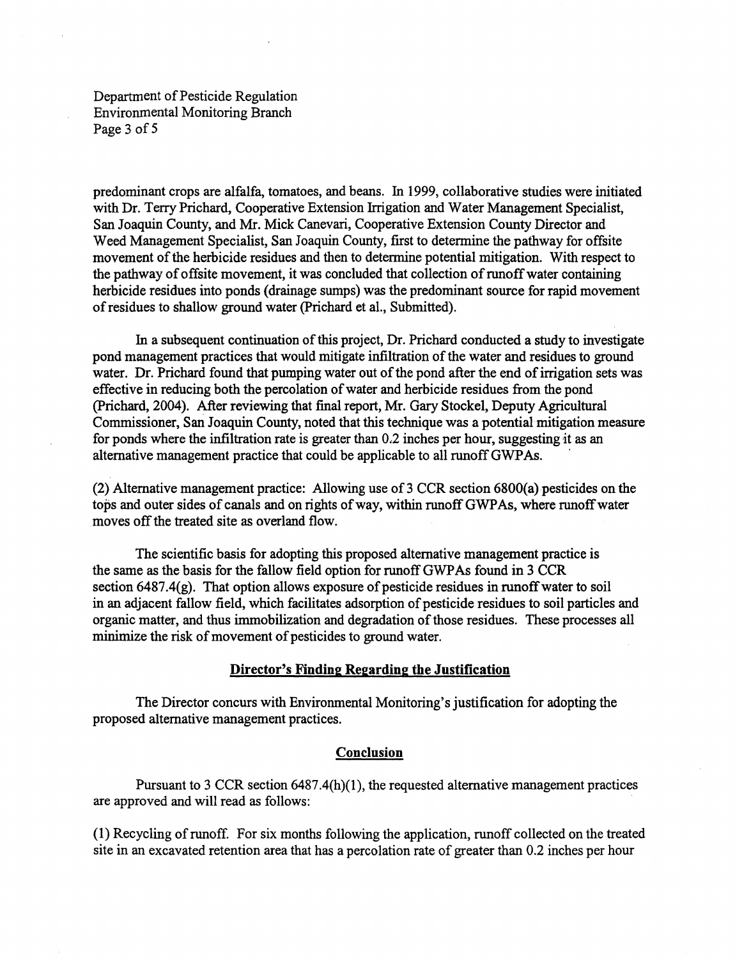Department of Pesticide Regulation Environmental Monitoring Branch Page 3 of *5* 

predominant crops are alfalfa, tomatoes, and beans. In 1999, collaborative studies were initiated with Dr. Terry Prichard, Cooperative Extension Irrigation and Water Management Specialist, San Joaquin County, and Mr. Mick Canevari, Cooperative Extension County Director and Weed Management Specialist, San Joaquin County, first to determine the pathway for offsite movement of the herbicide residues and then to determine potential mitigation. With respect to the pathway of offsite movement, it was concluded that collection of runoff water containing herbicide residues into ponds (drainage sumps) was the predominant source for rapid movement of residues to shallow ground water {Prichard et al., Submitted).

In a subsequent continuation of this project, Dr. Prichard conducted a study to investigate pond management practices that would mitigate infiltration of the water and residues to ground water. Dr. Prichard found that pumping water out of the pond after the end of irrigation sets was effective in reducing both the percolation of water and herbicide residues from the pond (Prichard, 2004). After reviewing that final report, Mr. Gary Stockel, Deputy Agricultural Commissioner, San Joaquin County, noted that this technique was a potential mitigation measure for ponds where the infiltration rate is greater than 0.2 inches per hour, suggesting it as an alternative management practice that could be applicable to all runoff GWPAs.

 $(2)$  Alternative management practice: Allowing use of 3 CCR section 6800 $(a)$  pesticides on the *tops* and outer sides of canals and on rights of way, within runoff GWPAs, where runoff water moves off the treated site as overland flow.

The scientific basis for adopting this proposed alternative management practice is the same as the basis for the fallow field option for runoff GWP As found in 3 CCR section  $6487.4(g)$ . That option allows exposure of pesticide residues in runoff water to soil in an adjacent fallow field, which facilitates adsorption of pesticide residues to soil particles and organic matter, and thus immobilization and degradation of those residues. These processes all minimize the risk of movement of pesticides to ground water.

#### **Director's Finding Regarding the Justification**

The Director concurs with Environmental Monitoring's justification for adopting the proposed alternative management practices.

#### **Conclusion**

Pursuant to 3 CCR section  $6487.4(h)(1)$ , the requested alternative management practices are approved and will read as follows:

(1) Recycling of runoff. For six months following the application, runoff collected on the treated site in an excavated retention area that has a percolation rate of greater than 0.2 inches per hour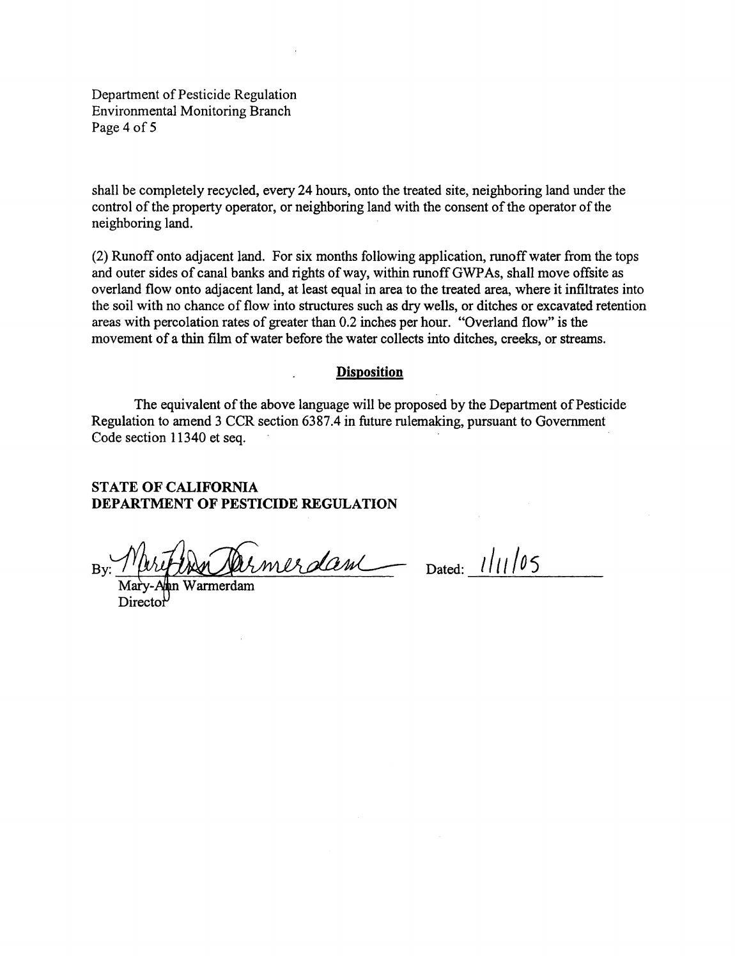Department of Pesticide Regulation Environmental Monitoring Branch Page 4 of 5

shall be completely recycled, every 24 hours, onto the treated site, neighboring land under the control of the property operator, or neighboring land with the consent of the operator of the neighboring land.

(2) Runoff onto adjacent land. For six months following application, runoff water from the tops and outer sides of canal banks and rights of way, within runoff GWPAs, shall move offsite as overland flow onto adjacent land, at least equal in area to the treated area, where it infiltrates into the soil with no chance of flow into structures such as dry wells, or ditches or excavated retention areas with percolation rates of greater than 0.2 inches per hour. "Overland flow" is the movement of a thin film of water before the water collects into ditches, creeks, or streams.

### **Disposition**

The equivalent of the above language will be proposed by the Department of Pesticide Regulation to amend 3 CCR section 6387.4 in future rulemaking, pursuant to Government Code section 11340 et seq.

# **STATE OF CALIFORNIA DEPARTMENT OF PESTICIDE REGULATION**

STATE OF CALIFORNIA<br>DEPARTMENT OF PESTICIDE REGULATION<br>By: Mary-Ann Warmerdam<br>Director<br>Director

**Director** 

Dated:  $1/11/05$ *t/11 /05*